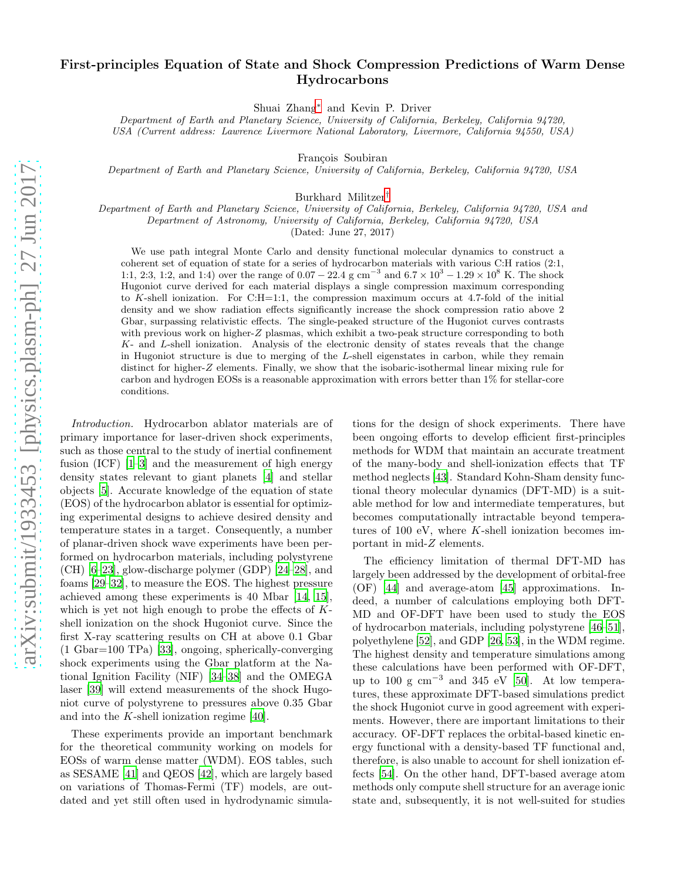## First-principles Equation of State and Shock Compression Predictions of Warm Dense Hydrocarbons

Shuai Zhang[∗](#page-4-0) and Kevin P. Driver

*Department of Earth and Planetary Science, University of California, Berkeley, California 94720, USA (Current address: Lawrence Livermore National Laboratory, Livermore, California 94550, USA)*

François Soubiran

*Department of Earth and Planetary Science, University of California, Berkeley, California 94720, USA*

Burkhard Militzer[†](#page-4-1)

*Department of Earth and Planetary Science, University of California, Berkeley, California 94720, USA and Department of Astronomy, University of California, Berkeley, California 94720, USA*

(Dated: June 27, 2017)

We use path integral Monte Carlo and density functional molecular dynamics to construct a coherent set of equation of state for a series of hydrocarbon materials with various C:H ratios (2:1, 1:1, 2:3, 1:2, and 1:4) over the range of  $0.07 - 22.4$  g cm<sup>-3</sup> and  $6.7 \times 10^3 - 1.29 \times 10^8$  K. The shock Hugoniot curve derived for each material displays a single compression maximum corresponding to K-shell ionization. For C:H=1:1, the compression maximum occurs at 4.7-fold of the initial density and we show radiation effects significantly increase the shock compression ratio above 2 Gbar, surpassing relativistic effects. The single-peaked structure of the Hugoniot curves contrasts with previous work on higher-Z plasmas, which exhibit a two-peak structure corresponding to both K- and L-shell ionization. Analysis of the electronic density of states reveals that the change in Hugoniot structure is due to merging of the L-shell eigenstates in carbon, while they remain distinct for higher-Z elements. Finally, we show that the isobaric-isothermal linear mixing rule for carbon and hydrogen EOSs is a reasonable approximation with errors better than 1% for stellar-core conditions.

Introduction. Hydrocarbon ablator materials are of primary importance for laser-driven shock experiments, such as those central to the study of inertial confinement fusion (ICF) [\[1](#page-4-2)[–3](#page-4-3)] and the measurement of high energy density states relevant to giant planets [\[4\]](#page-4-4) and stellar objects [\[5\]](#page-4-5). Accurate knowledge of the equation of state (EOS) of the hydrocarbon ablator is essential for optimizing experimental designs to achieve desired density and temperature states in a target. Consequently, a number of planar-driven shock wave experiments have been performed on hydrocarbon materials, including polystyrene (CH) [\[6](#page-4-6)[–23\]](#page-4-7), glow-discharge polymer (GDP) [\[24](#page-4-8)[–28\]](#page-4-9), and foams [\[29](#page-4-10)[–32\]](#page-4-11), to measure the EOS. The highest pressure achieved among these experiments is 40 Mbar [\[14,](#page-4-12) [15\]](#page-4-13), which is yet not high enough to probe the effects of  $K$ shell ionization on the shock Hugoniot curve. Since the first X-ray scattering results on CH at above 0.1 Gbar (1 Gbar=100 TPa) [\[33\]](#page-5-0), ongoing, spherically-converging shock experiments using the Gbar platform at the National Ignition Facility (NIF) [\[34](#page-5-1)[–38\]](#page-5-2) and the OMEGA laser [\[39\]](#page-5-3) will extend measurements of the shock Hugoniot curve of polystyrene to pressures above 0.35 Gbar and into the K-shell ionization regime [\[40\]](#page-5-4).

These experiments provide an important benchmark for the theoretical community working on models for EOSs of warm dense matter (WDM). EOS tables, such as SESAME [\[41\]](#page-5-5) and QEOS [\[42](#page-5-6)], which are largely based on variations of Thomas-Fermi (TF) models, are outdated and yet still often used in hydrodynamic simula-

tions for the design of shock experiments. There have been ongoing efforts to develop efficient first-principles methods for WDM that maintain an accurate treatment of the many-body and shell-ionization effects that TF method neglects [\[43\]](#page-5-7). Standard Kohn-Sham density functional theory molecular dynamics (DFT-MD) is a suitable method for low and intermediate temperatures, but becomes computationally intractable beyond temperatures of 100 eV, where  $K$ -shell ionization becomes important in mid-Z elements.

The efficiency limitation of thermal DFT-MD has largely been addressed by the development of orbital-free (OF) [\[44\]](#page-5-8) and average-atom [\[45\]](#page-5-9) approximations. Indeed, a number of calculations employing both DFT-MD and OF-DFT have been used to study the EOS of hydrocarbon materials, including polystyrene [\[46](#page-5-10)[–51\]](#page-5-11), polyethylene [\[52\]](#page-5-12), and GDP [\[26,](#page-4-14) [53\]](#page-5-13), in the WDM regime. The highest density and temperature simulations among these calculations have been performed with OF-DFT, up to 100 g  $\text{cm}^{-3}$  and 345 eV [\[50\]](#page-5-14). At low temperatures, these approximate DFT-based simulations predict the shock Hugoniot curve in good agreement with experiments. However, there are important limitations to their accuracy. OF-DFT replaces the orbital-based kinetic energy functional with a density-based TF functional and, therefore, is also unable to account for shell ionization effects [\[54\]](#page-5-15). On the other hand, DFT-based average atom methods only compute shell structure for an average ionic state and, subsequently, it is not well-suited for studies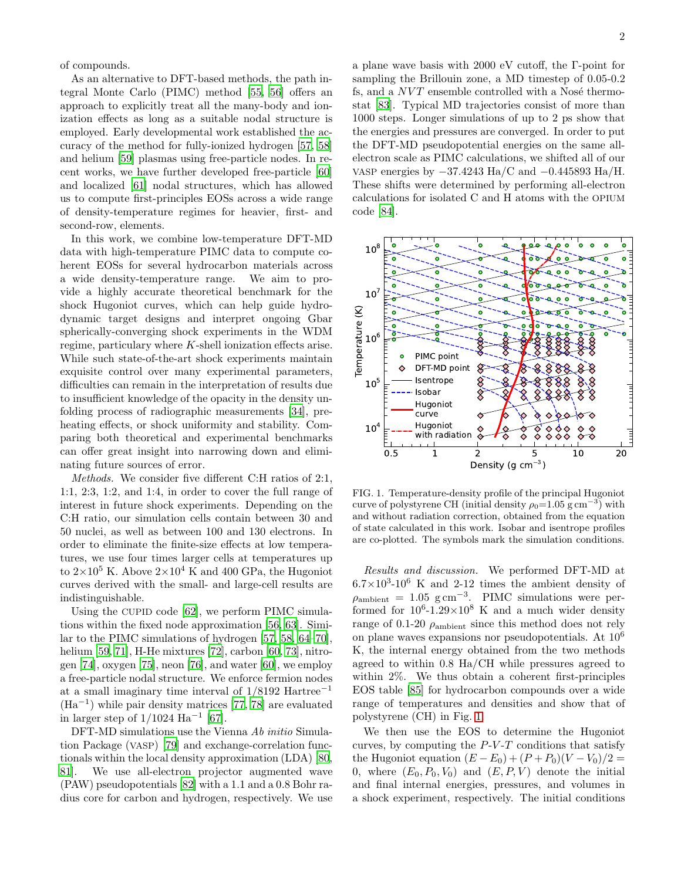of compounds.

As an alternative to DFT-based methods, the path integral Monte Carlo (PIMC) method [\[55](#page-5-16), [56\]](#page-5-17) offers an approach to explicitly treat all the many-body and ionization effects as long as a suitable nodal structure is employed. Early developmental work established the accuracy of the method for fully-ionized hydrogen [\[57,](#page-5-18) [58](#page-5-19)] and helium [\[59\]](#page-5-20) plasmas using free-particle nodes. In recent works, we have further developed free-particle [\[60](#page-5-21)] and localized [\[61\]](#page-5-22) nodal structures, which has allowed us to compute first-principles EOSs across a wide range of density-temperature regimes for heavier, first- and second-row, elements.

In this work, we combine low-temperature DFT-MD data with high-temperature PIMC data to compute coherent EOSs for several hydrocarbon materials across a wide density-temperature range. We aim to provide a highly accurate theoretical benchmark for the shock Hugoniot curves, which can help guide hydrodynamic target designs and interpret ongoing Gbar spherically-converging shock experiments in the WDM regime, particulary where  $K$ -shell ionization effects arise. While such state-of-the-art shock experiments maintain exquisite control over many experimental parameters, difficulties can remain in the interpretation of results due to insufficient knowledge of the opacity in the density unfolding process of radiographic measurements [\[34](#page-5-1)], preheating effects, or shock uniformity and stability. Comparing both theoretical and experimental benchmarks can offer great insight into narrowing down and eliminating future sources of error.

Methods. We consider five different C:H ratios of 2:1, 1:1, 2:3, 1:2, and 1:4, in order to cover the full range of interest in future shock experiments. Depending on the C:H ratio, our simulation cells contain between 30 and 50 nuclei, as well as between 100 and 130 electrons. In order to eliminate the finite-size effects at low temperatures, we use four times larger cells at temperatures up to  $2\times10^5$  K. Above  $2\times10^4$  K and 400 GPa, the Hugoniot curves derived with the small- and large-cell results are indistinguishable.

Using the CUPID code [\[62](#page-5-23)], we perform PIMC simulations within the fixed node approximation [\[56](#page-5-17), [63\]](#page-5-24). Similar to the PIMC simulations of hydrogen [\[57,](#page-5-18) [58,](#page-5-19) [64](#page-5-25)[–70\]](#page-5-26), helium [\[59](#page-5-20), [71](#page-5-27)], H-He mixtures [\[72](#page-5-28)], carbon [\[60,](#page-5-21) [73\]](#page-5-29), nitrogen [\[74\]](#page-5-30), oxygen [\[75](#page-5-31)], neon [\[76\]](#page-5-32), and water [\[60](#page-5-21)], we employ a free-particle nodal structure. We enforce fermion nodes at a small imaginary time interval of 1/8192 Hartree−<sup>1</sup> (Ha−<sup>1</sup> ) while pair density matrices [\[77](#page-5-33), [78\]](#page-5-34) are evaluated in larger step of  $1/1024$  Ha<sup>-1</sup> [\[67\]](#page-5-35).

DFT-MD simulations use the Vienna Ab initio Simulation Package (VASP) [\[79\]](#page-5-36) and exchange-correlation functionals within the local density approximation (LDA) [\[80](#page-5-37), [81\]](#page-5-38). We use all-electron projector augmented wave (PAW) pseudopotentials [\[82](#page-5-39)] with a 1.1 and a 0.8 Bohr radius core for carbon and hydrogen, respectively. We use a plane wave basis with 2000 eV cutoff, the Γ-point for sampling the Brillouin zone, a MD timestep of 0.05-0.2 fs, and a  $NVT$  ensemble controlled with a Nosé thermostat [\[83](#page-5-40)]. Typical MD trajectories consist of more than 1000 steps. Longer simulations of up to 2 ps show that the energies and pressures are converged. In order to put the DFT-MD pseudopotential energies on the same allelectron scale as PIMC calculations, we shifted all of our VASP energies by −37.4243 Ha/C and −0.445893 Ha/H. These shifts were determined by performing all-electron calculations for isolated C and H atoms with the OPIUM code [\[84\]](#page-5-41).



<span id="page-1-0"></span>FIG. 1. Temperature-density profile of the principal Hugoniot curve of polystyrene CH (initial density  $\rho_0 = 1.05 \text{ g cm}^{-3}$ ) with and without radiation correction, obtained from the equation of state calculated in this work. Isobar and isentrope profiles are co-plotted. The symbols mark the simulation conditions.

Results and discussion. We performed DFT-MD at  $6.7 \times 10^3$ -10<sup>6</sup> K and 2-12 times the ambient density of  $\rho_{\rm ambient} = 1.05 \text{ g cm}^{-3}$ . PIMC simulations were performed for  $10^6$ -1.29 $\times$ 10<sup>8</sup> K and a much wider density range of 0.1-20  $\rho_{\rm ambient}$  since this method does not rely on plane waves expansions nor pseudopotentials. At 10<sup>6</sup> K, the internal energy obtained from the two methods agreed to within 0.8 Ha/CH while pressures agreed to within 2%. We thus obtain a coherent first-principles EOS table [\[85\]](#page-5-42) for hydrocarbon compounds over a wide range of temperatures and densities and show that of polystyrene (CH) in Fig. [1.](#page-1-0)

We then use the EOS to determine the Hugoniot curves, by computing the  $P-V-T$  conditions that satisfy the Hugoniot equation  $(E - E_0) + (P + P_0)(V - V_0)/2 =$ 0, where  $(E_0, P_0, V_0)$  and  $(E, P, V)$  denote the initial and final internal energies, pressures, and volumes in a shock experiment, respectively. The initial conditions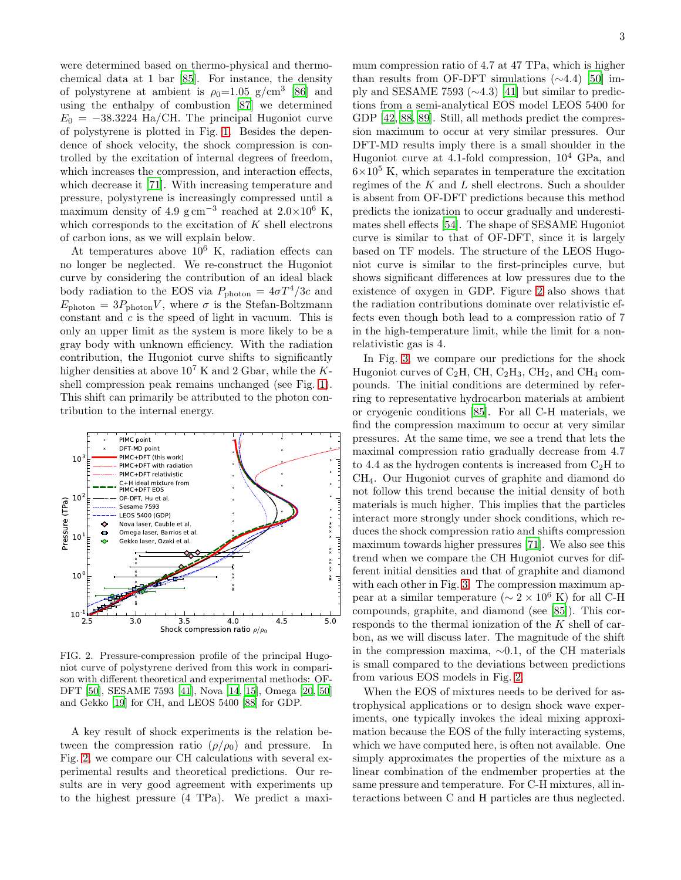were determined based on thermo-physical and thermochemical data at 1 bar [\[85](#page-5-42)]. For instance, the density of polystyrene at ambient is  $\rho_0 = 1.05$  g/cm<sup>3</sup> [\[86\]](#page-5-43) and using the enthalpy of combustion [\[87](#page-5-44)] we determined  $E_0 = -38.3224$  Ha/CH. The principal Hugoniot curve of polystyrene is plotted in Fig. [1.](#page-1-0) Besides the dependence of shock velocity, the shock compression is controlled by the excitation of internal degrees of freedom, which increases the compression, and interaction effects, which decrease it [\[71](#page-5-27)]. With increasing temperature and pressure, polystyrene is increasingly compressed until a maximum density of 4.9  $\text{g cm}^{-3}$  reached at 2.0×10<sup>6</sup> K, which corresponds to the excitation of  $K$  shell electrons of carbon ions, as we will explain below.

At temperatures above  $10^6$  K, radiation effects can no longer be neglected. We re-construct the Hugoniot curve by considering the contribution of an ideal black body radiation to the EOS via  $P_{\text{photon}} = 4\sigma T^4/3c$  and  $E_{\rm photon} = 3P_{\rm photon}V$ , where  $\sigma$  is the Stefan-Boltzmann constant and  $c$  is the speed of light in vacuum. This is only an upper limit as the system is more likely to be a gray body with unknown efficiency. With the radiation contribution, the Hugoniot curve shifts to significantly higher densities at above  $10^7$  K and 2 Gbar, while the Kshell compression peak remains unchanged (see Fig. [1\)](#page-1-0). This shift can primarily be attributed to the photon contribution to the internal energy.



<span id="page-2-0"></span>FIG. 2. Pressure-compression profile of the principal Hugoniot curve of polystyrene derived from this work in comparison with different theoretical and experimental methods: OF-DFT [\[50\]](#page-5-14), SESAME 7593 [\[41\]](#page-5-5), Nova [\[14](#page-4-12), [15](#page-4-13)], Omega [\[20](#page-4-15), [50](#page-5-14)] and Gekko [\[19](#page-4-16)] for CH, and LEOS 5400 [\[88\]](#page-5-45) for GDP.

A key result of shock experiments is the relation between the compression ratio  $(\rho/\rho_0)$  and pressure. In Fig. [2,](#page-2-0) we compare our CH calculations with several experimental results and theoretical predictions. Our results are in very good agreement with experiments up to the highest pressure (4 TPa). We predict a maxi-

mum compression ratio of 4.7 at 47 TPa, which is higher than results from OF-DFT simulations  $(\sim4.4)$  [\[50\]](#page-5-14) imply and SESAME 7593 (∼4.3) [\[41](#page-5-5)] but similar to predictions from a semi-analytical EOS model LEOS 5400 for GDP [\[42,](#page-5-6) [88,](#page-5-45) [89](#page-5-46)]. Still, all methods predict the compression maximum to occur at very similar pressures. Our DFT-MD results imply there is a small shoulder in the Hugoniot curve at 4.1-fold compression,  $10^4$  GPa, and  $6\times10^5$  K, which separates in temperature the excitation regimes of the  $K$  and  $L$  shell electrons. Such a shoulder is absent from OF-DFT predictions because this method predicts the ionization to occur gradually and underestimates shell effects [\[54\]](#page-5-15). The shape of SESAME Hugoniot curve is similar to that of OF-DFT, since it is largely based on TF models. The structure of the LEOS Hugoniot curve is similar to the first-principles curve, but shows significant differences at low pressures due to the existence of oxygen in GDP. Figure [2](#page-2-0) also shows that the radiation contributions dominate over relativistic effects even though both lead to a compression ratio of 7 in the high-temperature limit, while the limit for a nonrelativistic gas is 4.

In Fig. [3,](#page-3-0) we compare our predictions for the shock Hugoniot curves of  $C_2H$ , CH,  $C_2H_3$ , CH<sub>2</sub>, and CH<sub>4</sub> compounds. The initial conditions are determined by referring to representative hydrocarbon materials at ambient or cryogenic conditions [\[85\]](#page-5-42). For all C-H materials, we find the compression maximum to occur at very similar pressures. At the same time, we see a trend that lets the maximal compression ratio gradually decrease from 4.7 to 4.4 as the hydrogen contents is increased from  $C_2H$  to CH4. Our Hugoniot curves of graphite and diamond do not follow this trend because the initial density of both materials is much higher. This implies that the particles interact more strongly under shock conditions, which reduces the shock compression ratio and shifts compression maximum towards higher pressures [\[71\]](#page-5-27). We also see this trend when we compare the CH Hugoniot curves for different initial densities and that of graphite and diamond with each other in Fig. [3.](#page-3-0) The compression maximum appear at a similar temperature ( $\sim 2 \times 10^6$  K) for all C-H compounds, graphite, and diamond (see [\[85](#page-5-42)]). This corresponds to the thermal ionization of the K shell of carbon, as we will discuss later. The magnitude of the shift in the compression maxima, ∼0.1, of the CH materials is small compared to the deviations between predictions from various EOS models in Fig. [2.](#page-2-0)

When the EOS of mixtures needs to be derived for astrophysical applications or to design shock wave experiments, one typically invokes the ideal mixing approximation because the EOS of the fully interacting systems, which we have computed here, is often not available. One simply approximates the properties of the mixture as a linear combination of the endmember properties at the same pressure and temperature. For C-H mixtures, all interactions between C and H particles are thus neglected.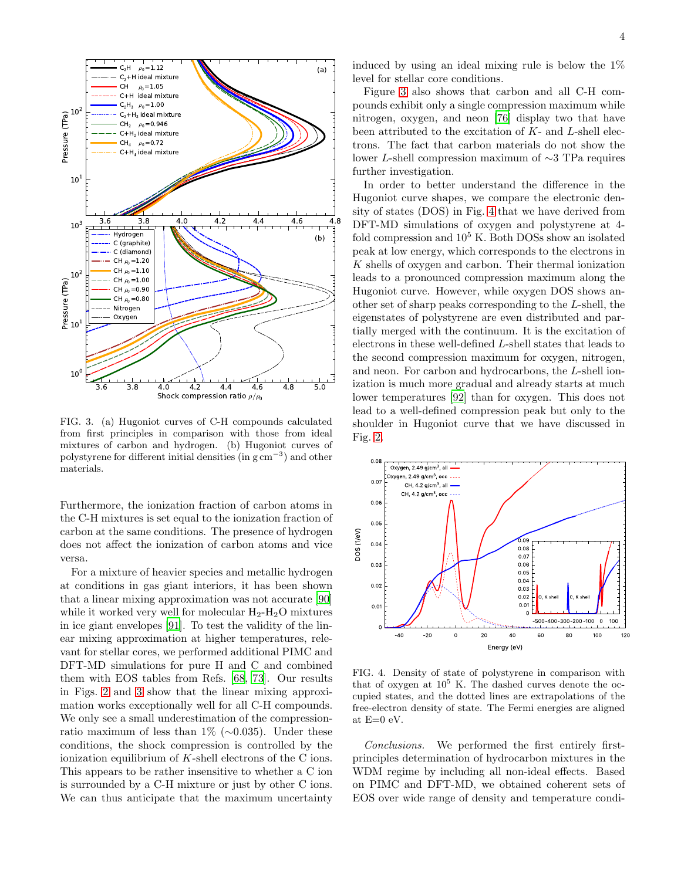

<span id="page-3-0"></span>FIG. 3. (a) Hugoniot curves of C-H compounds calculated from first principles in comparison with those from ideal mixtures of carbon and hydrogen. (b) Hugoniot curves of polystyrene for different initial densities (in g cm<sup>−</sup><sup>3</sup> ) and other materials.

Furthermore, the ionization fraction of carbon atoms in the C-H mixtures is set equal to the ionization fraction of carbon at the same conditions. The presence of hydrogen does not affect the ionization of carbon atoms and vice versa.

For a mixture of heavier species and metallic hydrogen at conditions in gas giant interiors, it has been shown that a linear mixing approximation was not accurate [\[90](#page-6-0)] while it worked very well for molecular  $H_2-H_2O$  mixtures in ice giant envelopes [\[91\]](#page-6-1). To test the validity of the linear mixing approximation at higher temperatures, relevant for stellar cores, we performed additional PIMC and DFT-MD simulations for pure H and C and combined them with EOS tables from Refs. [\[68](#page-5-47), [73](#page-5-29)]. Our results in Figs. [2](#page-2-0) and [3](#page-3-0) show that the linear mixing approximation works exceptionally well for all C-H compounds. We only see a small underestimation of the compressionratio maximum of less than 1% (∼0.035). Under these conditions, the shock compression is controlled by the ionization equilibrium of  $K$ -shell electrons of the C ions. This appears to be rather insensitive to whether a C ion is surrounded by a C-H mixture or just by other C ions. We can thus anticipate that the maximum uncertainty

induced by using an ideal mixing rule is below the 1% level for stellar core conditions.

Figure [3](#page-3-0) also shows that carbon and all C-H compounds exhibit only a single compression maximum while nitrogen, oxygen, and neon [\[76\]](#page-5-32) display two that have been attributed to the excitation of  $K$ - and  $L$ -shell electrons. The fact that carbon materials do not show the lower L-shell compression maximum of ∼3 TPa requires further investigation.

In order to better understand the difference in the Hugoniot curve shapes, we compare the electronic density of states (DOS) in Fig. [4](#page-3-1) that we have derived from DFT-MD simulations of oxygen and polystyrene at 4 fold compression and  $10^5$  K. Both DOSs show an isolated peak at low energy, which corresponds to the electrons in K shells of oxygen and carbon. Their thermal ionization leads to a pronounced compression maximum along the Hugoniot curve. However, while oxygen DOS shows another set of sharp peaks corresponding to the L-shell, the eigenstates of polystyrene are even distributed and partially merged with the continuum. It is the excitation of electrons in these well-defined L-shell states that leads to the second compression maximum for oxygen, nitrogen, and neon. For carbon and hydrocarbons, the L-shell ionization is much more gradual and already starts at much lower temperatures [\[92](#page-6-2)] than for oxygen. This does not lead to a well-defined compression peak but only to the shoulder in Hugoniot curve that we have discussed in Fig. [2.](#page-2-0)



<span id="page-3-1"></span>FIG. 4. Density of state of polystyrene in comparison with that of oxygen at  $10^5$  K. The dashed curves denote the occupied states, and the dotted lines are extrapolations of the free-electron density of state. The Fermi energies are aligned at  $E=0$  eV.

Conclusions. We performed the first entirely firstprinciples determination of hydrocarbon mixtures in the WDM regime by including all non-ideal effects. Based on PIMC and DFT-MD, we obtained coherent sets of EOS over wide range of density and temperature condi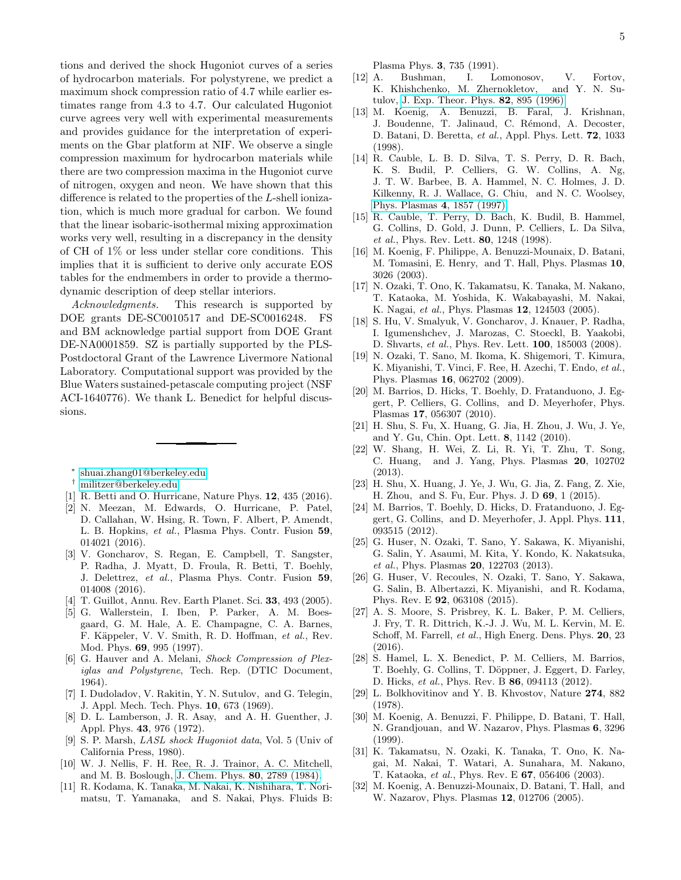tions and derived the shock Hugoniot curves of a series of hydrocarbon materials. For polystyrene, we predict a maximum shock compression ratio of 4.7 while earlier estimates range from 4.3 to 4.7. Our calculated Hugoniot curve agrees very well with experimental measurements and provides guidance for the interpretation of experiments on the Gbar platform at NIF. We observe a single compression maximum for hydrocarbon materials while there are two compression maxima in the Hugoniot curve of nitrogen, oxygen and neon. We have shown that this difference is related to the properties of the L-shell ionization, which is much more gradual for carbon. We found that the linear isobaric-isothermal mixing approximation works very well, resulting in a discrepancy in the density of CH of 1% or less under stellar core conditions. This implies that it is sufficient to derive only accurate EOS tables for the endmembers in order to provide a thermodynamic description of deep stellar interiors.

Acknowledgments. This research is supported by DOE grants DE-SC0010517 and DE-SC0016248. FS and BM acknowledge partial support from DOE Grant DE-NA0001859. SZ is partially supported by the PLS-Postdoctoral Grant of the Lawrence Livermore National Laboratory. Computational support was provided by the Blue Waters sustained-petascale computing project (NSF ACI-1640776). We thank L. Benedict for helpful discussions.

∗ [shuai.zhang01@berkeley.edu](mailto:shuai.zhang01@berkeley.edu)

<span id="page-4-0"></span>† [militzer@berkeley.edu](mailto:militzer@berkeley.edu)

- <span id="page-4-2"></span><span id="page-4-1"></span>[1] R. Betti and O. Hurricane, Nature Phys. 12, 435 (2016).
- [2] N. Meezan, M. Edwards, O. Hurricane, P. Patel, D. Callahan, W. Hsing, R. Town, F. Albert, P. Amendt, L. B. Hopkins, *et al.*, Plasma Phys. Contr. Fusion 59, 014021 (2016).
- <span id="page-4-3"></span>[3] V. Goncharov, S. Regan, E. Campbell, T. Sangster, P. Radha, J. Myatt, D. Froula, R. Betti, T. Boehly, J. Delettrez, *et al.*, Plasma Phys. Contr. Fusion 59, 014008 (2016).
- <span id="page-4-4"></span>[4] T. Guillot, Annu. Rev. Earth Planet. Sci. 33, 493 (2005).
- <span id="page-4-5"></span>[5] G. Wallerstein, I. Iben, P. Parker, A. M. Boesgaard, G. M. Hale, A. E. Champagne, C. A. Barnes, F. Käppeler, V. V. Smith, R. D. Hoffman, et al., Rev. Mod. Phys. 69, 995 (1997).
- <span id="page-4-6"></span>[6] G. Hauver and A. Melani, *Shock Compression of Plexiglas and Polystyrene*, Tech. Rep. (DTIC Document, 1964).
- [7] I. Dudoladov, V. Rakitin, Y. N. Sutulov, and G. Telegin, J. Appl. Mech. Tech. Phys. 10, 673 (1969).
- [8] D. L. Lamberson, J. R. Asay, and A. H. Guenther, J. Appl. Phys. 43, 976 (1972).
- [9] S. P. Marsh, *LASL shock Hugoniot data*, Vol. 5 (Univ of California Press, 1980).
- [10] W. J. Nellis, F. H. Ree, R. J. Trainor, A. C. Mitchell, and M. B. Boslough, [J. Chem. Phys.](http://dx.doi.org/ 10.1063/1.447027) 80, 2789 (1984).
- [11] R. Kodama, K. Tanaka, M. Nakai, K. Nishihara, T. Norimatsu, T. Yamanaka, and S. Nakai, Phys. Fluids B:

Plasma Phys. 3, 735 (1991).

- [12] A. Bushman, I. Lomonosov, V. Fortov, K. Khishchenko, M. Zhernokletov, and Y. N. Sutulov, [J. Exp. Theor. Phys.](http://www.jetp.ac.ru/cgi-bin/dn/e_082_05_0895.pdf) 82, 895 (1996).
- [13] M. Koenig, A. Benuzzi, B. Faral, J. Krishnan, J. Boudenne, T. Jalinaud, C. Rémond, A. Decoster, D. Batani, D. Beretta, *et al.*, Appl. Phys. Lett. 72, 1033 (1998).
- <span id="page-4-12"></span>[14] R. Cauble, L. B. D. Silva, T. S. Perry, D. R. Bach, K. S. Budil, P. Celliers, G. W. Collins, A. Ng, J. T. W. Barbee, B. A. Hammel, N. C. Holmes, J. D. Kilkenny, R. J. Wallace, G. Chiu, and N. C. Woolsey, [Phys. Plasmas](http://dx.doi.org/10.1063/1.872362) 4, 1857 (1997).
- <span id="page-4-13"></span>[15] R. Cauble, T. Perry, D. Bach, K. Budil, B. Hammel, G. Collins, D. Gold, J. Dunn, P. Celliers, L. Da Silva, *et al.*, Phys. Rev. Lett. 80, 1248 (1998).
- [16] M. Koenig, F. Philippe, A. Benuzzi-Mounaix, D. Batani, M. Tomasini, E. Henry, and T. Hall, Phys. Plasmas 10, 3026 (2003).
- [17] N. Ozaki, T. Ono, K. Takamatsu, K. Tanaka, M. Nakano, T. Kataoka, M. Yoshida, K. Wakabayashi, M. Nakai, K. Nagai, *et al.*, Phys. Plasmas 12, 124503 (2005).
- [18] S. Hu, V. Smalyuk, V. Goncharov, J. Knauer, P. Radha, I. Igumenshchev, J. Marozas, C. Stoeckl, B. Yaakobi, D. Shvarts, *et al.*, Phys. Rev. Lett. 100, 185003 (2008).
- <span id="page-4-16"></span>[19] N. Ozaki, T. Sano, M. Ikoma, K. Shigemori, T. Kimura, K. Miyanishi, T. Vinci, F. Ree, H. Azechi, T. Endo, *et al.*, Phys. Plasmas 16, 062702 (2009).
- <span id="page-4-15"></span>[20] M. Barrios, D. Hicks, T. Boehly, D. Fratanduono, J. Eggert, P. Celliers, G. Collins, and D. Meyerhofer, Phys. Plasmas 17, 056307 (2010).
- [21] H. Shu, S. Fu, X. Huang, G. Jia, H. Zhou, J. Wu, J. Ye, and Y. Gu, Chin. Opt. Lett. 8, 1142 (2010).
- [22] W. Shang, H. Wei, Z. Li, R. Yi, T. Zhu, T. Song, C. Huang, and J. Yang, Phys. Plasmas 20, 102702 (2013).
- <span id="page-4-7"></span>[23] H. Shu, X. Huang, J. Ye, J. Wu, G. Jia, Z. Fang, Z. Xie, H. Zhou, and S. Fu, Eur. Phys. J. D 69, 1 (2015).
- <span id="page-4-8"></span>[24] M. Barrios, T. Boehly, D. Hicks, D. Fratanduono, J. Eggert, G. Collins, and D. Meyerhofer, J. Appl. Phys. 111, 093515 (2012).
- [25] G. Huser, N. Ozaki, T. Sano, Y. Sakawa, K. Miyanishi, G. Salin, Y. Asaumi, M. Kita, Y. Kondo, K. Nakatsuka, *et al.*, Phys. Plasmas 20, 122703 (2013).
- <span id="page-4-14"></span>[26] G. Huser, V. Recoules, N. Ozaki, T. Sano, Y. Sakawa, G. Salin, B. Albertazzi, K. Miyanishi, and R. Kodama, Phys. Rev. E 92, 063108 (2015).
- [27] A. S. Moore, S. Prisbrey, K. L. Baker, P. M. Celliers, J. Fry, T. R. Dittrich, K.-J. J. Wu, M. L. Kervin, M. E. Schoff, M. Farrell, *et al.*, High Energ. Dens. Phys. 20, 23 (2016).
- <span id="page-4-9"></span>[28] S. Hamel, L. X. Benedict, P. M. Celliers, M. Barrios, T. Boehly, G. Collins, T. Döppner, J. Eggert, D. Farley, D. Hicks, *et al.*, Phys. Rev. B 86, 094113 (2012).
- <span id="page-4-10"></span>[29] L. Bolkhovitinov and Y. B. Khvostov, Nature 274, 882 (1978).
- [30] M. Koenig, A. Benuzzi, F. Philippe, D. Batani, T. Hall, N. Grandjouan, and W. Nazarov, Phys. Plasmas 6, 3296 (1999).
- [31] K. Takamatsu, N. Ozaki, K. Tanaka, T. Ono, K. Nagai, M. Nakai, T. Watari, A. Sunahara, M. Nakano, T. Kataoka, *et al.*, Phys. Rev. E 67, 056406 (2003).
- <span id="page-4-11"></span>[32] M. Koenig, A. Benuzzi-Mounaix, D. Batani, T. Hall, and W. Nazarov, Phys. Plasmas 12, 012706 (2005).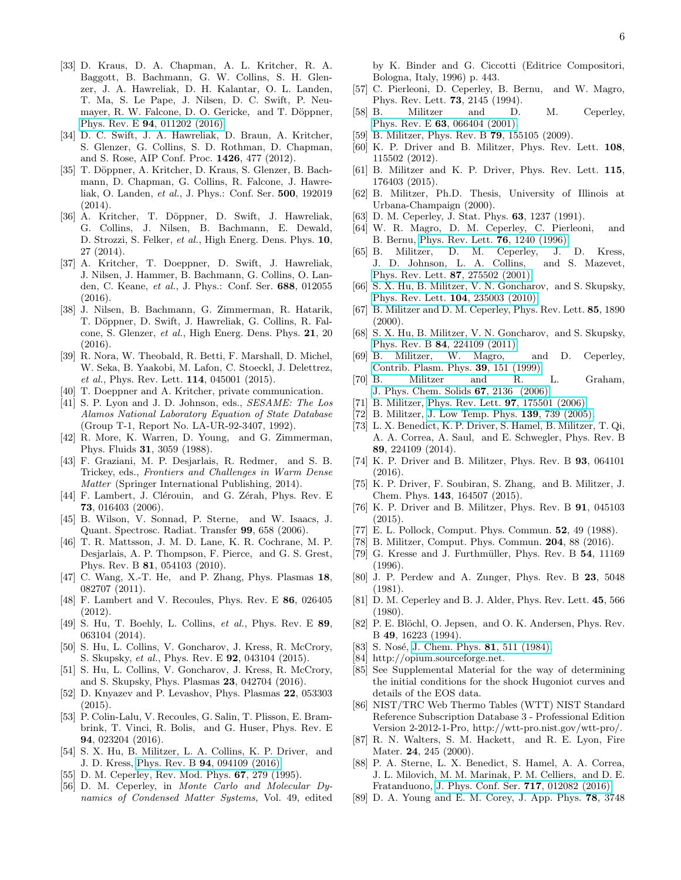- <span id="page-5-0"></span>[33] D. Kraus, D. A. Chapman, A. L. Kritcher, R. A. Baggott, B. Bachmann, G. W. Collins, S. H. Glenzer, J. A. Hawreliak, D. H. Kalantar, O. L. Landen, T. Ma, S. Le Pape, J. Nilsen, D. C. Swift, P. Neumayer, R. W. Falcone, D. O. Gericke, and T. Döppner, Phys. Rev. E 94[, 011202 \(2016\).](http://dx.doi.org/10.1103/PhysRevE.94.011202)
- <span id="page-5-1"></span>[34] D. C. Swift, J. A. Hawreliak, D. Braun, A. Kritcher, S. Glenzer, G. Collins, S. D. Rothman, D. Chapman, and S. Rose, AIP Conf. Proc. 1426, 477 (2012).
- [35] T. Döppner, A. Kritcher, D. Kraus, S. Glenzer, B. Bachmann, D. Chapman, G. Collins, R. Falcone, J. Hawreliak, O. Landen, *et al.*, J. Phys.: Conf. Ser. 500, 192019  $(2014)$ .
- [36] A. Kritcher, T. Döppner, D. Swift, J. Hawreliak, G. Collins, J. Nilsen, B. Bachmann, E. Dewald, D. Strozzi, S. Felker, *et al.*, High Energ. Dens. Phys. 10, 27 (2014).
- [37] A. Kritcher, T. Doeppner, D. Swift, J. Hawreliak, J. Nilsen, J. Hammer, B. Bachmann, G. Collins, O. Landen, C. Keane, *et al.*, J. Phys.: Conf. Ser. 688, 012055 (2016).
- <span id="page-5-2"></span>[38] J. Nilsen, B. Bachmann, G. Zimmerman, R. Hatarik, T. Döppner, D. Swift, J. Hawreliak, G. Collins, R. Falcone, S. Glenzer, *et al.*, High Energ. Dens. Phys. 21, 20 (2016).
- <span id="page-5-3"></span>[39] R. Nora, W. Theobald, R. Betti, F. Marshall, D. Michel, W. Seka, B. Yaakobi, M. Lafon, C. Stoeckl, J. Delettrez, *et al.*, Phys. Rev. Lett. 114, 045001 (2015).
- <span id="page-5-4"></span>[40] T. Doeppner and A. Kritcher, private communication.
- <span id="page-5-5"></span>[41] S. P. Lyon and J. D. Johnson, eds., *SESAME: The Los Alamos National Laboratory Equation of State Database* (Group T-1, Report No. LA-UR-92-3407, 1992).
- <span id="page-5-6"></span>[42] R. More, K. Warren, D. Young, and G. Zimmerman, Phys. Fluids 31, 3059 (1988).
- <span id="page-5-7"></span>[43] F. Graziani, M. P. Desjarlais, R. Redmer, and S. B. Trickey, eds., *Frontiers and Challenges in Warm Dense Matter* (Springer International Publishing, 2014).
- <span id="page-5-8"></span>[44] F. Lambert, J. Clérouin, and G. Zérah, Phys. Rev. E 73, 016403 (2006).
- <span id="page-5-9"></span>[45] B. Wilson, V. Sonnad, P. Sterne, and W. Isaacs, J. Quant. Spectrosc. Radiat. Transfer 99, 658 (2006).
- <span id="page-5-10"></span>[46] T. R. Mattsson, J. M. D. Lane, K. R. Cochrane, M. P. Desjarlais, A. P. Thompson, F. Pierce, and G. S. Grest, Phys. Rev. B 81, 054103 (2010).
- [47] C. Wang, X.-T. He, and P. Zhang, Phys. Plasmas 18, 082707 (2011).
- [48] F. Lambert and V. Recoules, Phys. Rev. E 86, 026405 (2012).
- [49] S. Hu, T. Boehly, L. Collins, *et al.*, Phys. Rev. E 89, 063104 (2014).
- <span id="page-5-14"></span>[50] S. Hu, L. Collins, V. Goncharov, J. Kress, R. McCrory, S. Skupsky, *et al.*, Phys. Rev. E 92, 043104 (2015).
- <span id="page-5-11"></span>[51] S. Hu, L. Collins, V. Goncharov, J. Kress, R. McCrory, and S. Skupsky, Phys. Plasmas 23, 042704 (2016).
- <span id="page-5-12"></span>[52] D. Knyazev and P. Levashov, Phys. Plasmas 22, 053303 (2015).
- <span id="page-5-13"></span>[53] P. Colin-Lalu, V. Recoules, G. Salin, T. Plisson, E. Brambrink, T. Vinci, R. Bolis, and G. Huser, Phys. Rev. E 94, 023204 (2016).
- <span id="page-5-15"></span>[54] S. X. Hu, B. Militzer, L. A. Collins, K. P. Driver, and J. D. Kress, Phys. Rev. B 94[, 094109 \(2016\).](http://dx.doi.org/ 10.1103/PhysRevB.94.094109)
- <span id="page-5-16"></span>[55] D. M. Ceperley, Rev. Mod. Phys. 67, 279 (1995).
- <span id="page-5-17"></span>[56] D. M. Ceperley, in *Monte Carlo and Molecular Dynamics of Condensed Matter Systems*, Vol. 49, edited

by K. Binder and G. Ciccotti (Editrice Compositori, Bologna, Italy, 1996) p. 443.

- <span id="page-5-18"></span>[57] C. Pierleoni, D. Ceperley, B. Bernu, and W. Magro, Phys. Rev. Lett. 73, 2145 (1994).
- <span id="page-5-19"></span>[58] B. Militzer and D. M. Ceperley, Phys. Rev. E 63[, 066404 \(2001\).](http://dx.doi.org/10.1103/PhysRevE.63.066404)
- <span id="page-5-20"></span>[59] B. Militzer, Phys. Rev. B **79**, 155105 (2009).
- <span id="page-5-21"></span>[60] K. P. Driver and B. Militzer, Phys. Rev. Lett. 108, 115502 (2012).
- <span id="page-5-22"></span>[61] B. Militzer and K. P. Driver, Phys. Rev. Lett. 115, 176403 (2015).
- <span id="page-5-23"></span>[62] B. Militzer, Ph.D. Thesis, University of Illinois at Urbana-Champaign (2000).
- <span id="page-5-24"></span>[63] D. M. Ceperley, J. Stat. Phys. **63**, 1237 (1991).
- <span id="page-5-25"></span>[64] W. R. Magro, D. M. Ceperley, C. Pierleoni, and B. Bernu, [Phys. Rev. Lett.](http://dx.doi.org/10.1103/PhysRevLett.76.1240) 76, 1240 (1996).
- [65] B. Militzer, D. M. Ceperley, J. D. Kress, J. D. Johnson, L. A. Collins, and S. Mazevet, [Phys. Rev. Lett.](http://dx.doi.org/ 10.1103/PhysRevLett.87.275502) 87, 275502 (2001).
- [66] S. X. Hu, B. Militzer, V. N. Goncharov, and S. Skupsky, [Phys. Rev. Lett.](http://dx.doi.org/10.1103/PhysRevLett.104.235003) 104, 235003 (2010).
- <span id="page-5-35"></span>[67] B. Militzer and D. M. Ceperley, Phys. Rev. Lett. 85, 1890  $(2000).$
- <span id="page-5-47"></span>[68] S. X. Hu, B. Militzer, V. N. Goncharov, and S. Skupsky, Phys. Rev. B 84[, 224109 \(2011\).](http://dx.doi.org/10.1103/PhysRevB.84.224109)
- [69] B. Militzer, W. Magro, and D. Ceperley, [Contrib. Plasm. Phys.](http://dx.doi.org/10.1002/ctpp.2150390137) 39, 151 (1999).
- <span id="page-5-26"></span>[70] B. Militzer and R. L. Graham, [J. Phys. Chem. Solids](http://dx.doi.org/http://dx.doi.org/10.1016/j.jpcs.2006.05.015) 67, 2136 (2006).
- <span id="page-5-27"></span>[71] B. Militzer, [Phys. Rev. Lett.](http://dx.doi.org/10.1103/PhysRevLett.97.175501) **97**, 175501 (2006).
- <span id="page-5-28"></span>[72] B. Militzer, [J. Low Temp. Phys.](http://dx.doi.org/10.1007/s10909-005-5485-8) **139**, 739 (2005).
- <span id="page-5-29"></span>[73] L. X. Benedict, K. P. Driver, S. Hamel, B. Militzer, T. Qi, A. A. Correa, A. Saul, and E. Schwegler, Phys. Rev. B 89, 224109 (2014).
- <span id="page-5-30"></span>[74] K. P. Driver and B. Militzer, Phys. Rev. B 93, 064101 (2016).
- <span id="page-5-31"></span>[75] K. P. Driver, F. Soubiran, S. Zhang, and B. Militzer, J. Chem. Phys. 143, 164507 (2015).
- <span id="page-5-32"></span>[76] K. P. Driver and B. Militzer, Phys. Rev. B 91, 045103 (2015).
- <span id="page-5-33"></span>[77] E. L. Pollock, Comput. Phys. Commun. 52, 49 (1988).
- <span id="page-5-34"></span>[78] B. Militzer, Comput. Phys. Commun. 204, 88 (2016).
- <span id="page-5-36"></span> $[79]$  G. Kresse and J. Furthmüller, Phys. Rev. B  $54$ , 11169 (1996).
- <span id="page-5-37"></span>[80] J. P. Perdew and A. Zunger, Phys. Rev. B 23, 5048 (1981).
- <span id="page-5-38"></span>[81] D. M. Ceperley and B. J. Alder, Phys. Rev. Lett. 45, 566 (1980).
- <span id="page-5-39"></span>[82] P. E. Blöchl, O. Jepsen, and O. K. Andersen, Phys. Rev. B 49, 16223 (1994).
- <span id="page-5-40"></span>[83] S. Nosé, [J. Chem. Phys.](http://dx.doi.org/10.1063/1.447334) **81**, 511 (1984).
- <span id="page-5-41"></span>[84] http://opium.sourceforge.net.
- <span id="page-5-42"></span>[85] See Supplemental Material for the way of determining the initial conditions for the shock Hugoniot curves and details of the EOS data.
- <span id="page-5-43"></span>[86] NIST/TRC Web Thermo Tables (WTT) NIST Standard Reference Subscription Database 3 - Professional Edition Version 2-2012-1-Pro, http://wtt-pro.nist.gov/wtt-pro/.
- <span id="page-5-44"></span>[87] R. N. Walters, S. M. Hackett, and R. E. Lyon, Fire Mater. **24**, 245 (2000).
- <span id="page-5-45"></span>[88] P. A. Sterne, L. X. Benedict, S. Hamel, A. A. Correa, J. L. Milovich, M. M. Marinak, P. M. Celliers, and D. E. Fratanduono, [J. Phys. Conf. Ser.](http://stacks.iop.org/1742-6596/717/i=1/a=012082) 717, 012082 (2016).
- <span id="page-5-46"></span>[89] D. A. Young and E. M. Corey, J. App. Phys. 78, 3748